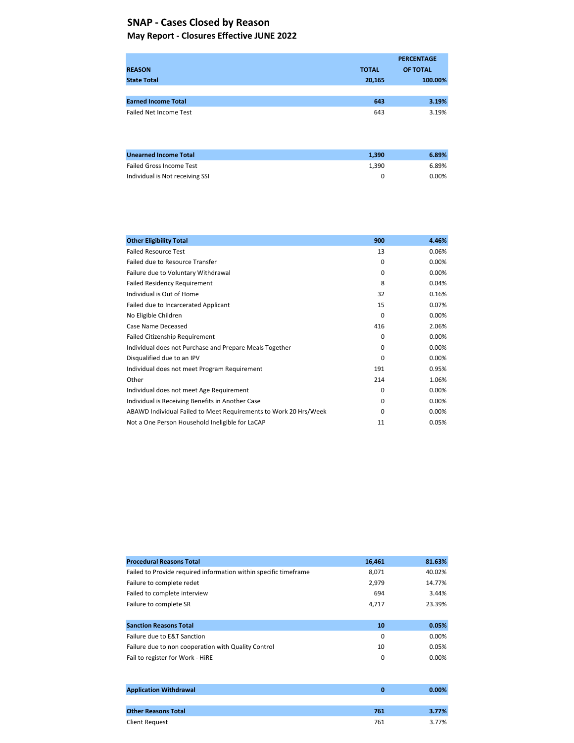### May Report - Closures Effective JUNE 2022 SNAP - Cases Closed by Reason

|                               |              | <b>PERCENTAGE</b> |
|-------------------------------|--------------|-------------------|
| <b>REASON</b>                 | <b>TOTAL</b> | OF TOTAL          |
| <b>State Total</b>            | 20,165       | 100.00%           |
|                               |              |                   |
| <b>Earned Income Total</b>    | 643          | 3.19%             |
| Failed Net Income Test        | 643          | 3.19%             |
|                               |              |                   |
|                               |              |                   |
|                               |              |                   |
| <b>Ilgenuard Income Total</b> | 1.200        | $c$ $000$         |

| <b>Unearned Income Total</b>    | 1.390 | 6.89% |
|---------------------------------|-------|-------|
| <b>Failed Gross Income Test</b> | 1.390 | 6.89% |
| Individual is Not receiving SSI |       | 0.00% |

| <b>Other Eligibility Total</b>                                   | 900      | 4.46%    |
|------------------------------------------------------------------|----------|----------|
| <b>Failed Resource Test</b>                                      | 13       | 0.06%    |
| Failed due to Resource Transfer                                  | $\Omega$ | 0.00%    |
| Failure due to Voluntary Withdrawal                              | $\Omega$ | 0.00%    |
| <b>Failed Residency Requirement</b>                              | 8        | 0.04%    |
| Individual is Out of Home                                        | 32       | 0.16%    |
| Failed due to Incarcerated Applicant                             | 15       | 0.07%    |
| No Eligible Children                                             | 0        | 0.00%    |
| Case Name Deceased                                               | 416      | 2.06%    |
| <b>Failed Citizenship Requirement</b>                            | $\Omega$ | 0.00%    |
| Individual does not Purchase and Prepare Meals Together          | $\Omega$ | 0.00%    |
| Disqualified due to an IPV                                       | 0        | 0.00%    |
| Individual does not meet Program Requirement                     | 191      | 0.95%    |
| Other                                                            | 214      | 1.06%    |
| Individual does not meet Age Requirement                         | $\Omega$ | $0.00\%$ |
| Individual is Receiving Benefits in Another Case                 | $\Omega$ | $0.00\%$ |
| ABAWD Individual Failed to Meet Requirements to Work 20 Hrs/Week | O        | 0.00%    |
| Not a One Person Household Ineligible for LaCAP                  | 11       | 0.05%    |

| <b>Procedural Reasons Total</b>                                  | 16,461 | 81.63% |
|------------------------------------------------------------------|--------|--------|
| Failed to Provide required information within specific timeframe | 8,071  | 40.02% |
| Failure to complete redet                                        | 2,979  | 14.77% |
| Failed to complete interview                                     | 694    | 3.44%  |
| Failure to complete SR                                           | 4,717  | 23.39% |
|                                                                  |        |        |
| <b>Sanction Reasons Total</b>                                    | 10     | 0.05%  |
| Failure due to E&T Sanction                                      | 0      | 0.00%  |
| Failure due to non cooperation with Quality Control              | 10     | 0.05%  |
| Fail to register for Work - HiRE                                 | 0      | 0.00%  |
|                                                                  |        |        |

| <b>Application Withdrawal</b> | o   | $0.00\%$ |
|-------------------------------|-----|----------|
|                               |     |          |
| <b>Other Reasons Total</b>    | 761 | 3.77%    |
| Client Request                | 761 | 3.77%    |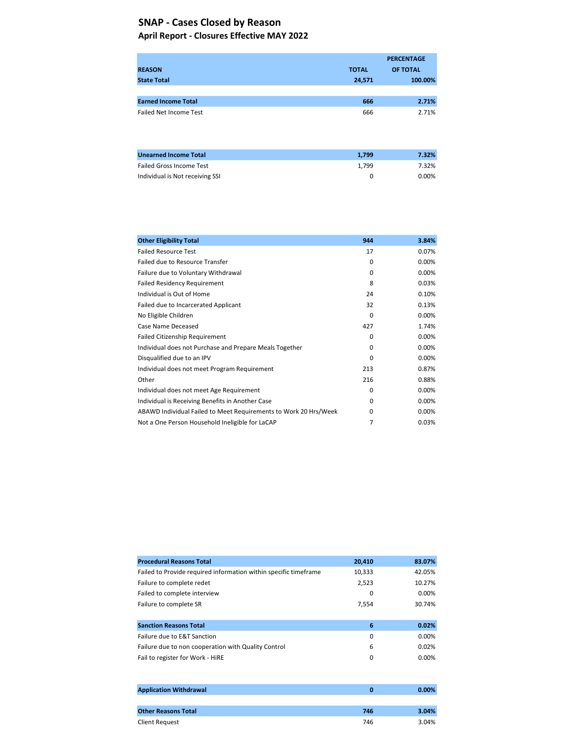### April Report - Closures Effective MAY 2022 SNAP - Cases Closed by Reason

|                                 |              | <b>PERCENTAGE</b> |
|---------------------------------|--------------|-------------------|
| <b>REASON</b>                   | <b>TOTAL</b> | OF TOTAL          |
| <b>State Total</b>              | 24,571       | 100.00%           |
|                                 |              |                   |
| <b>Earned Income Total</b>      | 666          | 2.71%             |
| <b>Failed Net Income Test</b>   | 666          | 2.71%             |
| <b>Unearned Income Total</b>    | 1,799        | 7.32%             |
| <b>Failed Gross Income Test</b> | 1,799        | 7.32%             |
| Individual is Not receiving SSI | 0            | 0.00%             |

| <b>Other Eligibility Total</b>                                   | 944      | 3.84%    |
|------------------------------------------------------------------|----------|----------|
| <b>Failed Resource Test</b>                                      | 17       | 0.07%    |
| Failed due to Resource Transfer                                  | 0        | $0.00\%$ |
| Failure due to Voluntary Withdrawal                              | 0        | 0.00%    |
| <b>Failed Residency Requirement</b>                              | 8        | 0.03%    |
| Individual is Out of Home                                        | 24       | 0.10%    |
| Failed due to Incarcerated Applicant                             | 32       | 0.13%    |
| No Eligible Children                                             | 0        | 0.00%    |
| Case Name Deceased                                               | 427      | 1.74%    |
| <b>Failed Citizenship Requirement</b>                            | 0        | 0.00%    |
| Individual does not Purchase and Prepare Meals Together          | 0        | 0.00%    |
| Disqualified due to an IPV                                       | 0        | 0.00%    |
| Individual does not meet Program Requirement                     | 213      | 0.87%    |
| Other                                                            | 216      | 0.88%    |
| Individual does not meet Age Requirement                         | 0        | $0.00\%$ |
| Individual is Receiving Benefits in Another Case                 | 0        | 0.00%    |
| ABAWD Individual Failed to Meet Requirements to Work 20 Hrs/Week | $\Omega$ | $0.00\%$ |
| Not a One Person Household Ineligible for LaCAP                  | 7        | 0.03%    |

| <b>Procedural Reasons Total</b>                                  | 20,410 | 83.07%   |
|------------------------------------------------------------------|--------|----------|
| Failed to Provide required information within specific timeframe | 10,333 | 42.05%   |
| Failure to complete redet                                        | 2,523  | 10.27%   |
| Failed to complete interview                                     | 0      | $0.00\%$ |
| Failure to complete SR                                           | 7,554  | 30.74%   |
|                                                                  |        |          |
| <b>Sanction Reasons Total</b>                                    | 6      | 0.02%    |
| Failure due to E&T Sanction                                      | 0      | $0.00\%$ |
| Failure due to non cooperation with Quality Control              | 6      | 0.02%    |
| Fail to register for Work - HiRE                                 | 0      | $0.00\%$ |
|                                                                  |        |          |

| <b>Application Withdrawal</b> |     | $0.00\%$ |
|-------------------------------|-----|----------|
|                               |     |          |
| <b>Other Reasons Total</b>    | 746 | 3.04%    |
| Client Request                | 746 | 3.04%    |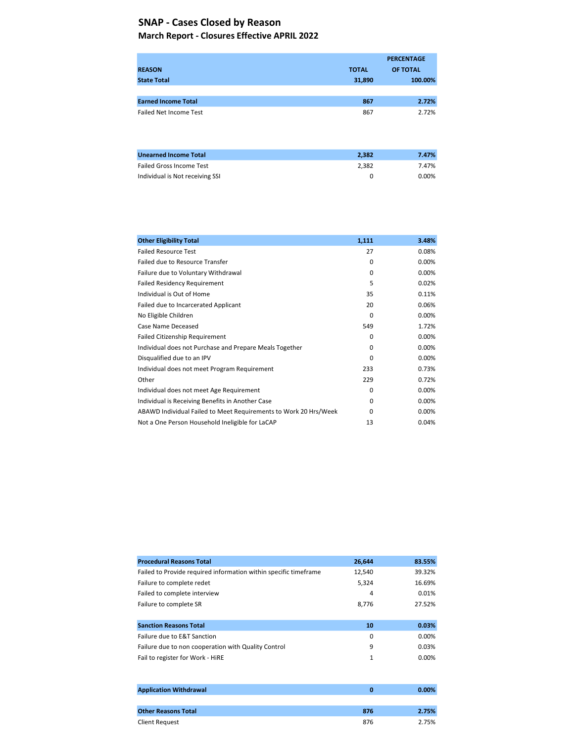#### March Report - Closures Effective APRIL 2022

|                                 |              | <b>PERCENTAGE</b> |
|---------------------------------|--------------|-------------------|
| <b>REASON</b>                   | <b>TOTAL</b> | OF TOTAL          |
| <b>State Total</b>              | 31,890       | 100.00%           |
|                                 |              |                   |
| <b>Earned Income Total</b>      | 867          | 2.72%             |
| <b>Failed Net Income Test</b>   | 867          | 2.72%             |
|                                 |              |                   |
| <b>Unearned Income Total</b>    | 2,382        | 7.47%             |
| <b>Failed Gross Income Test</b> | 2,382        | 7.47%             |
| Individual is Not receiving SSI | 0            | 0.00%             |

| <b>Other Eligibility Total</b>                                   | 1,111    | 3.48%    |
|------------------------------------------------------------------|----------|----------|
| <b>Failed Resource Test</b>                                      | 27       | 0.08%    |
| Failed due to Resource Transfer                                  | $\Omega$ | 0.00%    |
| Failure due to Voluntary Withdrawal                              | $\Omega$ | 0.00%    |
| <b>Failed Residency Requirement</b>                              | 5        | 0.02%    |
| Individual is Out of Home                                        | 35       | 0.11%    |
| Failed due to Incarcerated Applicant                             | 20       | 0.06%    |
| No Eligible Children                                             | 0        | $0.00\%$ |
| Case Name Deceased                                               | 549      | 1.72%    |
| <b>Failed Citizenship Requirement</b>                            | $\Omega$ | 0.00%    |
| Individual does not Purchase and Prepare Meals Together          | 0        | 0.00%    |
| Disqualified due to an IPV                                       | 0        | 0.00%    |
| Individual does not meet Program Requirement                     | 233      | 0.73%    |
| Other                                                            | 229      | 0.72%    |
| Individual does not meet Age Requirement                         | 0        | 0.00%    |
| Individual is Receiving Benefits in Another Case                 | $\Omega$ | 0.00%    |
| ABAWD Individual Failed to Meet Requirements to Work 20 Hrs/Week | 0        | 0.00%    |
| Not a One Person Household Ineligible for LaCAP                  | 13       | 0.04%    |

| <b>Procedural Reasons Total</b>                                  | 26,644 | 83.55%   |
|------------------------------------------------------------------|--------|----------|
| Failed to Provide required information within specific timeframe | 12,540 | 39.32%   |
| Failure to complete redet                                        | 5,324  | 16.69%   |
| Failed to complete interview                                     | 4      | 0.01%    |
| Failure to complete SR                                           | 8,776  | 27.52%   |
|                                                                  |        |          |
| <b>Sanction Reasons Total</b>                                    | 10     | 0.03%    |
| Failure due to E&T Sanction                                      | 0      | $0.00\%$ |
| Failure due to non cooperation with Quality Control              | 9      | 0.03%    |
| Fail to register for Work - HiRE                                 | 1      | $0.00\%$ |
|                                                                  |        |          |

| <b>Application Withdrawal</b> |     | $0.00\%$ |
|-------------------------------|-----|----------|
|                               |     |          |
| <b>Other Reasons Total</b>    | 876 | 2.75%    |
| Client Request                | 876 | 2.75%    |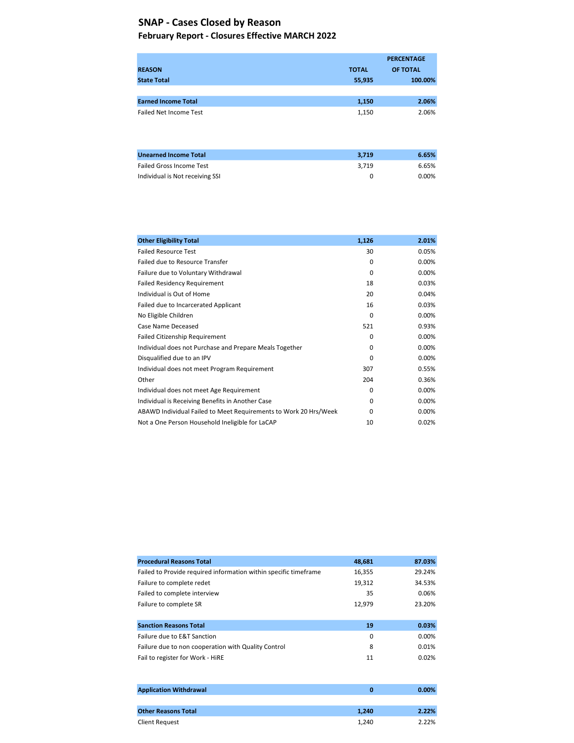#### February Report - Closures Effective MARCH 2022

|                                 |              | <b>PERCENTAGE</b> |
|---------------------------------|--------------|-------------------|
| <b>REASON</b>                   | <b>TOTAL</b> | OF TOTAL          |
| <b>State Total</b>              | 55,935       | 100.00%           |
|                                 |              |                   |
| <b>Earned Income Total</b>      | 1,150        | 2.06%             |
| <b>Failed Net Income Test</b>   | 1,150        | 2.06%             |
|                                 |              |                   |
|                                 |              |                   |
|                                 |              |                   |
| <b>Unearned Income Total</b>    | 3,719        | 6.65%             |
| <b>Failed Gross Income Test</b> | 3,719        | 6.65%             |
| Individual is Not receiving SSI | 0            | 0.00%             |

| <b>Other Eligibility Total</b>                                   | 1,126    | 2.01%    |
|------------------------------------------------------------------|----------|----------|
| <b>Failed Resource Test</b>                                      | 30       | 0.05%    |
| Failed due to Resource Transfer                                  | $\Omega$ | 0.00%    |
| Failure due to Voluntary Withdrawal                              | $\Omega$ | 0.00%    |
| <b>Failed Residency Requirement</b>                              | 18       | 0.03%    |
| Individual is Out of Home                                        | 20       | 0.04%    |
| Failed due to Incarcerated Applicant                             | 16       | 0.03%    |
| No Eligible Children                                             | 0        | 0.00%    |
| Case Name Deceased                                               | 521      | 0.93%    |
| <b>Failed Citizenship Requirement</b>                            | $\Omega$ | 0.00%    |
| Individual does not Purchase and Prepare Meals Together          | 0        | 0.00%    |
| Disqualified due to an IPV                                       | $\Omega$ | 0.00%    |
| Individual does not meet Program Requirement                     | 307      | 0.55%    |
| Other                                                            | 204      | 0.36%    |
| Individual does not meet Age Requirement                         | 0        | $0.00\%$ |
| Individual is Receiving Benefits in Another Case                 | 0        | 0.00%    |
| ABAWD Individual Failed to Meet Requirements to Work 20 Hrs/Week | 0        | 0.00%    |
| Not a One Person Household Ineligible for LaCAP                  | 10       | 0.02%    |

| <b>Procedural Reasons Total</b>                                  | 48,681 | 87.03% |
|------------------------------------------------------------------|--------|--------|
| Failed to Provide required information within specific timeframe | 16,355 | 29.24% |
| Failure to complete redet                                        | 19,312 | 34.53% |
| Failed to complete interview                                     | 35     | 0.06%  |
| Failure to complete SR                                           | 12,979 | 23.20% |
|                                                                  |        |        |
| <b>Sanction Reasons Total</b>                                    | 19     | 0.03%  |
| Failure due to E&T Sanction                                      | 0      | 0.00%  |
| Failure due to non cooperation with Quality Control              | 8      | 0.01%  |
| Fail to register for Work - HiRE                                 | 11     | 0.02%  |
|                                                                  |        |        |
|                                                                  |        |        |

| <b>Application Withdrawal</b> | o     | $0.00\%$ |
|-------------------------------|-------|----------|
|                               |       |          |
| <b>Other Reasons Total</b>    | 1.240 | 2.22%    |
| Client Request                | 1.240 | 2.22%    |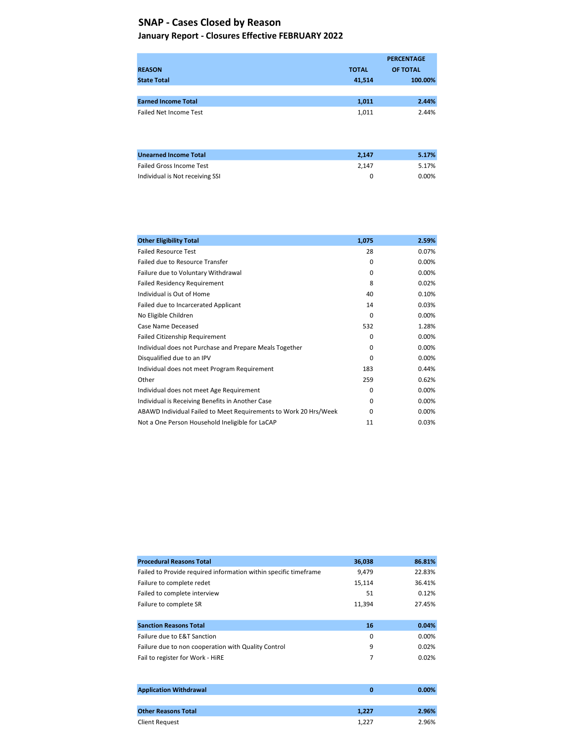#### January Report - Closures Effective FEBRUARY 2022

|                                 |              | <b>PERCENTAGE</b> |
|---------------------------------|--------------|-------------------|
| <b>REASON</b>                   | <b>TOTAL</b> | OF TOTAL          |
| <b>State Total</b>              | 41,514       | 100.00%           |
|                                 |              |                   |
| <b>Earned Income Total</b>      | 1,011        | 2.44%             |
| <b>Failed Net Income Test</b>   | 1,011        | 2.44%             |
|                                 |              |                   |
|                                 |              |                   |
|                                 |              |                   |
| <b>Unearned Income Total</b>    | 2,147        | 5.17%             |
| <b>Failed Gross Income Test</b> | 2,147        | 5.17%             |
| Individual is Not receiving SSI | 0            | 0.00%             |

| <b>Other Eligibility Total</b>                                   | 1,075        | 2.59%    |
|------------------------------------------------------------------|--------------|----------|
| <b>Failed Resource Test</b>                                      | 28           | 0.07%    |
| Failed due to Resource Transfer                                  | $\Omega$     | 0.00%    |
| Failure due to Voluntary Withdrawal                              | $\Omega$     | 0.00%    |
| <b>Failed Residency Requirement</b>                              | 8            | 0.02%    |
| Individual is Out of Home                                        | 40           | 0.10%    |
| Failed due to Incarcerated Applicant                             | 14           | 0.03%    |
| No Eligible Children                                             | $\Omega$     | 0.00%    |
| Case Name Deceased                                               | 532          | 1.28%    |
| <b>Failed Citizenship Requirement</b>                            | $\Omega$     | 0.00%    |
| Individual does not Purchase and Prepare Meals Together          | 0            | 0.00%    |
| Disqualified due to an IPV                                       | $\Omega$     | 0.00%    |
| Individual does not meet Program Requirement                     | 183          | 0.44%    |
| Other                                                            | 259          | 0.62%    |
| Individual does not meet Age Requirement                         | $\Omega$     | 0.00%    |
| Individual is Receiving Benefits in Another Case                 | $\Omega$     | $0.00\%$ |
| ABAWD Individual Failed to Meet Requirements to Work 20 Hrs/Week | <sup>0</sup> | 0.00%    |
| Not a One Person Household Ineligible for LaCAP                  | 11           | 0.03%    |

| <b>Procedural Reasons Total</b>                                  | 36,038 | 86.81% |
|------------------------------------------------------------------|--------|--------|
| Failed to Provide required information within specific timeframe | 9.479  | 22.83% |
| Failure to complete redet                                        | 15,114 | 36.41% |
| Failed to complete interview                                     | 51     | 0.12%  |
| Failure to complete SR                                           | 11,394 | 27.45% |
|                                                                  |        |        |
| <b>Sanction Reasons Total</b>                                    | 16     | 0.04%  |
| Failure due to E&T Sanction                                      | 0      | 0.00%  |
| Failure due to non cooperation with Quality Control              | 9      | 0.02%  |
| Fail to register for Work - HiRE                                 | 7      | 0.02%  |
|                                                                  |        |        |

| <b>Application Withdrawal</b> | о     | $0.00\%$ |
|-------------------------------|-------|----------|
|                               |       |          |
| <b>Other Reasons Total</b>    | 1.227 | 2.96%    |
| Client Request                | 1.227 | 2.96%    |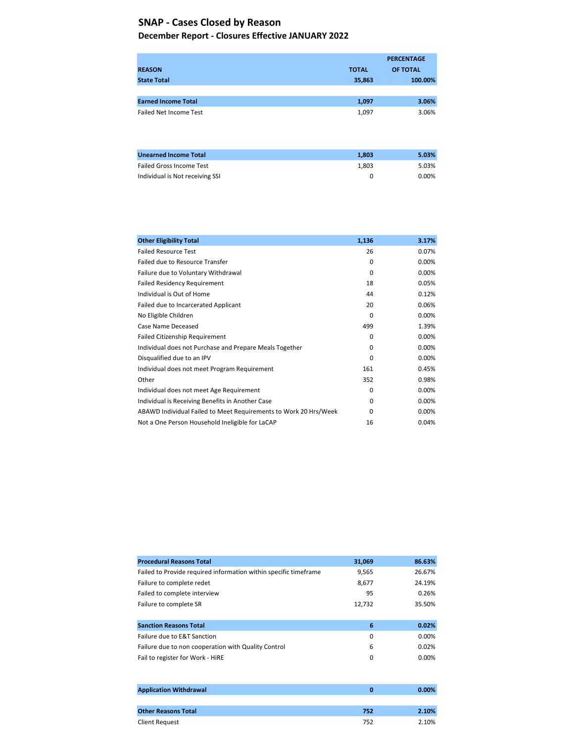#### December Report - Closures Effective JANUARY 2022

|                                 |              | <b>PERCENTAGE</b> |
|---------------------------------|--------------|-------------------|
| <b>REASON</b>                   | <b>TOTAL</b> | OF TOTAL          |
| <b>State Total</b>              | 35,863       | 100.00%           |
|                                 |              |                   |
| <b>Earned Income Total</b>      | 1,097        | 3.06%             |
| <b>Failed Net Income Test</b>   | 1,097        | 3.06%             |
|                                 |              |                   |
|                                 |              |                   |
|                                 |              |                   |
| <b>Unearned Income Total</b>    | 1,803        | 5.03%             |
| <b>Failed Gross Income Test</b> | 1,803        | 5.03%             |
| Individual is Not receiving SSI | 0            | 0.00%             |
|                                 |              |                   |

| <b>Other Eligibility Total</b>                                   | 1,136    | 3.17%    |
|------------------------------------------------------------------|----------|----------|
| <b>Failed Resource Test</b>                                      | 26       | 0.07%    |
| Failed due to Resource Transfer                                  | 0        | 0.00%    |
| Failure due to Voluntary Withdrawal                              | $\Omega$ | 0.00%    |
| <b>Failed Residency Requirement</b>                              | 18       | 0.05%    |
| Individual is Out of Home                                        | 44       | 0.12%    |
| Failed due to Incarcerated Applicant                             | 20       | 0.06%    |
| No Eligible Children                                             | 0        | 0.00%    |
| Case Name Deceased                                               | 499      | 1.39%    |
| <b>Failed Citizenship Requirement</b>                            | $\Omega$ | 0.00%    |
| Individual does not Purchase and Prepare Meals Together          | $\Omega$ | 0.00%    |
| Disqualified due to an IPV                                       | $\Omega$ | 0.00%    |
| Individual does not meet Program Requirement                     | 161      | 0.45%    |
| Other                                                            | 352      | 0.98%    |
| Individual does not meet Age Requirement                         | 0        | $0.00\%$ |
| Individual is Receiving Benefits in Another Case                 | 0        | 0.00%    |
| ABAWD Individual Failed to Meet Requirements to Work 20 Hrs/Week | $\Omega$ | 0.00%    |
| Not a One Person Household Ineligible for LaCAP                  | 16       | 0.04%    |

| <b>Procedural Reasons Total</b>                                  | 31,069 | 86.63%   |
|------------------------------------------------------------------|--------|----------|
| Failed to Provide required information within specific timeframe | 9,565  | 26.67%   |
| Failure to complete redet                                        | 8,677  | 24.19%   |
| Failed to complete interview                                     | 95     | 0.26%    |
| Failure to complete SR                                           | 12,732 | 35.50%   |
|                                                                  |        |          |
| <b>Sanction Reasons Total</b>                                    | 6      | 0.02%    |
| Failure due to E&T Sanction                                      | 0      | 0.00%    |
| Failure due to non cooperation with Quality Control              | 6      | 0.02%    |
| Fail to register for Work - HiRE                                 | 0      | $0.00\%$ |
|                                                                  |        |          |

| <b>Application Withdrawal</b> |     | $0.00\%$ |
|-------------------------------|-----|----------|
|                               |     |          |
| <b>Other Reasons Total</b>    | 752 | 2.10%    |
| Client Request                | 752 | 2.10%    |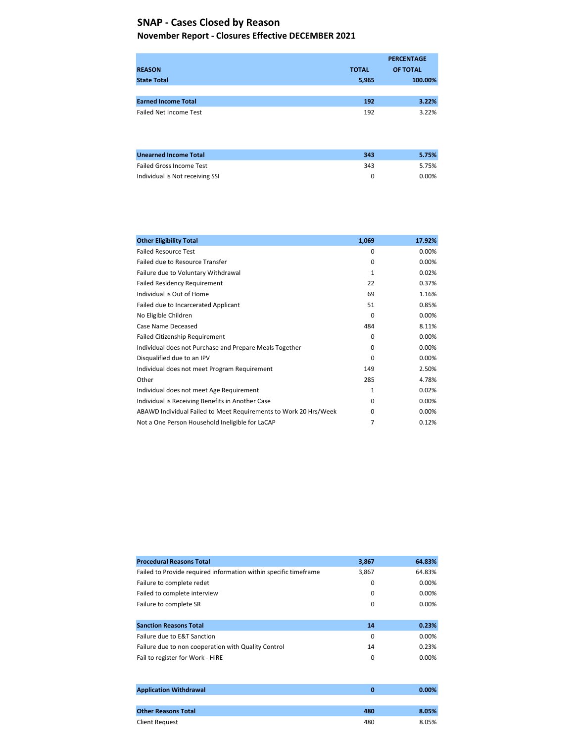#### November Report - Closures Effective DECEMBER 2021

|                                 |              | <b>PERCENTAGE</b> |
|---------------------------------|--------------|-------------------|
| <b>REASON</b>                   | <b>TOTAL</b> | OF TOTAL          |
| <b>State Total</b>              | 5,965        | 100.00%           |
|                                 |              |                   |
| <b>Earned Income Total</b>      | 192          | 3.22%             |
| <b>Failed Net Income Test</b>   | 192          | 3.22%             |
|                                 |              |                   |
|                                 |              |                   |
|                                 |              |                   |
| <b>Unearned Income Total</b>    | 343          | 5.75%             |
| <b>Failed Gross Income Test</b> | 343          | 5.75%             |
| Individual is Not receiving SSI | 0            | 0.00%             |
|                                 |              |                   |

| <b>Other Eligibility Total</b>                                   | 1,069 | 17.92% |
|------------------------------------------------------------------|-------|--------|
| <b>Failed Resource Test</b>                                      | 0     | 0.00%  |
| Failed due to Resource Transfer                                  | 0     | 0.00%  |
| Failure due to Voluntary Withdrawal                              | 1     | 0.02%  |
| <b>Failed Residency Requirement</b>                              | 22    | 0.37%  |
| Individual is Out of Home                                        | 69    | 1.16%  |
| Failed due to Incarcerated Applicant                             | 51    | 0.85%  |
| No Eligible Children                                             | 0     | 0.00%  |
| Case Name Deceased                                               | 484   | 8.11%  |
| <b>Failed Citizenship Requirement</b>                            | 0     | 0.00%  |
| Individual does not Purchase and Prepare Meals Together          | 0     | 0.00%  |
| Disqualified due to an IPV                                       | 0     | 0.00%  |
| Individual does not meet Program Requirement                     | 149   | 2.50%  |
| Other                                                            | 285   | 4.78%  |
| Individual does not meet Age Requirement                         | 1     | 0.02%  |
| Individual is Receiving Benefits in Another Case                 | 0     | 0.00%  |
| ABAWD Individual Failed to Meet Requirements to Work 20 Hrs/Week | 0     | 0.00%  |
| Not a One Person Household Ineligible for LaCAP                  | 7     | 0.12%  |

| <b>Procedural Reasons Total</b>                                  | 3,867 | 64.83%   |
|------------------------------------------------------------------|-------|----------|
| Failed to Provide required information within specific timeframe | 3,867 | 64.83%   |
| Failure to complete redet                                        | 0     | 0.00%    |
| Failed to complete interview                                     | 0     | $0.00\%$ |
| Failure to complete SR                                           | 0     | 0.00%    |
|                                                                  |       |          |
| <b>Sanction Reasons Total</b>                                    | 14    | 0.23%    |
| Failure due to E&T Sanction                                      | 0     | 0.00%    |
| Failure due to non cooperation with Quality Control              | 14    | 0.23%    |
| Fail to register for Work - HiRE                                 | 0     | $0.00\%$ |
|                                                                  |       |          |

| <b>Application Withdrawal</b> |     | 0.00% |
|-------------------------------|-----|-------|
|                               |     |       |
| <b>Other Reasons Total</b>    | 480 | 8.05% |
| Client Request                | 480 | 8.05% |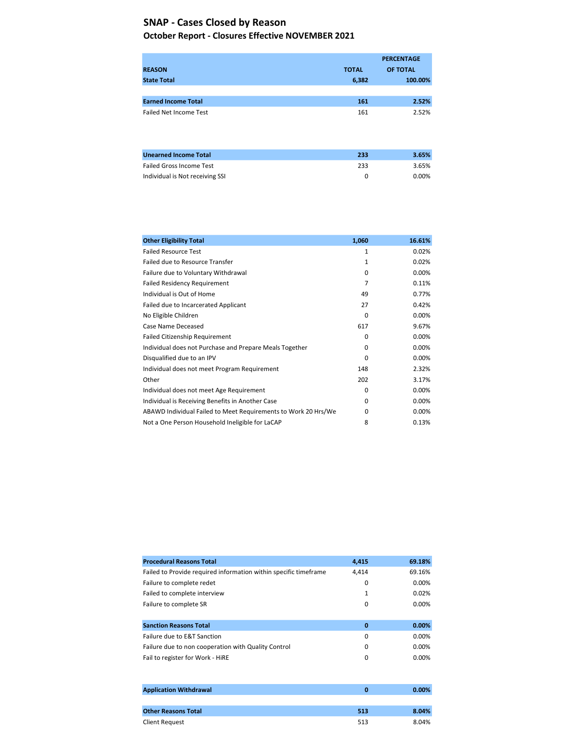#### October Report - Closures Effective NOVEMBER 2021

|                                 |              | <b>PERCENTAGE</b> |
|---------------------------------|--------------|-------------------|
| <b>REASON</b>                   | <b>TOTAL</b> | OF TOTAL          |
| <b>State Total</b>              | 6,382        | 100.00%           |
|                                 |              |                   |
| <b>Earned Income Total</b>      | 161          | 2.52%             |
| <b>Failed Net Income Test</b>   | 161          | 2.52%             |
|                                 |              |                   |
|                                 |              |                   |
|                                 |              |                   |
| <b>Unearned Income Total</b>    | 233          | 3.65%             |
| <b>Failed Gross Income Test</b> | 233          | 3.65%             |
| Individual is Not receiving SSI | 0            | 0.00%             |

| <b>Other Eligibility Total</b>                                 | 1,060        | 16.61% |
|----------------------------------------------------------------|--------------|--------|
| <b>Failed Resource Test</b>                                    | 1            | 0.02%  |
| Failed due to Resource Transfer                                | 1            | 0.02%  |
| Failure due to Voluntary Withdrawal                            | $\Omega$     | 0.00%  |
| <b>Failed Residency Requirement</b>                            | 7            | 0.11%  |
| Individual is Out of Home                                      | 49           | 0.77%  |
| Failed due to Incarcerated Applicant                           | 27           | 0.42%  |
| No Eligible Children                                           | 0            | 0.00%  |
| Case Name Deceased                                             | 617          | 9.67%  |
| <b>Failed Citizenship Requirement</b>                          | 0            | 0.00%  |
| Individual does not Purchase and Prepare Meals Together        | 0            | 0.00%  |
| Disqualified due to an IPV                                     | $\Omega$     | 0.00%  |
| Individual does not meet Program Requirement                   | 148          | 2.32%  |
| Other                                                          | 202          | 3.17%  |
| Individual does not meet Age Requirement                       | 0            | 0.00%  |
| Individual is Receiving Benefits in Another Case               | O            | 0.00%  |
| ABAWD Individual Failed to Meet Requirements to Work 20 Hrs/We | <sup>0</sup> | 0.00%  |
| Not a One Person Household Ineligible for LaCAP                | 8            | 0.13%  |

| <b>Procedural Reasons Total</b>                                  | 4,415        | 69.18%   |
|------------------------------------------------------------------|--------------|----------|
| Failed to Provide required information within specific timeframe | 4.414        | 69.16%   |
| Failure to complete redet                                        | 0            | 0.00%    |
| Failed to complete interview                                     | $\mathbf{1}$ | 0.02%    |
| Failure to complete SR                                           | 0            | $0.00\%$ |
|                                                                  |              |          |
| <b>Sanction Reasons Total</b>                                    | $\mathbf 0$  | 0.00%    |
| Failure due to E&T Sanction                                      | 0            | 0.00%    |
| Failure due to non cooperation with Quality Control              | 0            | $0.00\%$ |
| Fail to register for Work - HiRE                                 | 0            | $0.00\%$ |
|                                                                  |              |          |
|                                                                  |              |          |

| <b>Application Withdrawal</b> |     | $0.00\%$ |
|-------------------------------|-----|----------|
|                               |     |          |
| <b>Other Reasons Total</b>    | 513 | 8.04%    |
| <b>Client Request</b>         | 513 | 8.04%    |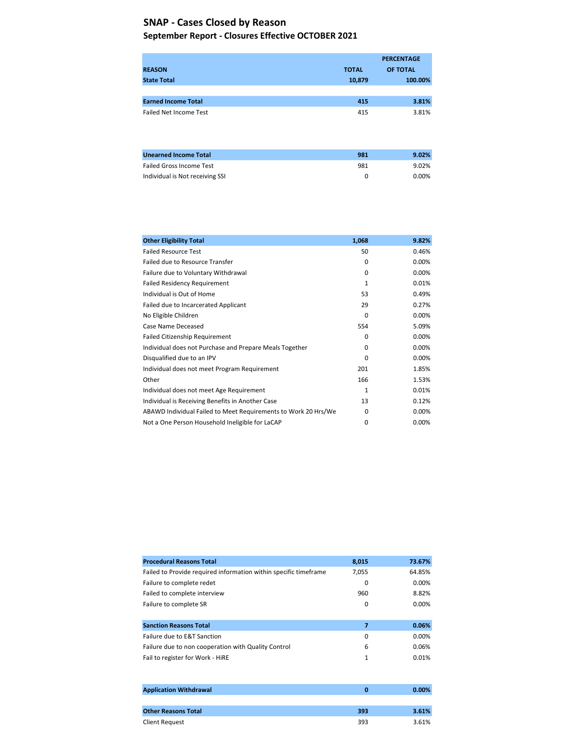#### September Report - Closures Effective OCTOBER 2021

|                                 |              | <b>PERCENTAGE</b> |
|---------------------------------|--------------|-------------------|
| <b>REASON</b>                   | <b>TOTAL</b> | OF TOTAL          |
| <b>State Total</b>              | 10,879       | 100.00%           |
|                                 |              |                   |
| <b>Earned Income Total</b>      | 415          | 3.81%             |
| <b>Failed Net Income Test</b>   | 415          | 3.81%             |
|                                 |              |                   |
|                                 |              |                   |
|                                 |              |                   |
| <b>Unearned Income Total</b>    | 981          | 9.02%             |
| <b>Failed Gross Income Test</b> | 981          | 9.02%             |
| Individual is Not receiving SSI | 0            | 0.00%             |

| <b>Other Eligibility Total</b>                                 | 1,068    | 9.82%    |
|----------------------------------------------------------------|----------|----------|
| <b>Failed Resource Test</b>                                    | 50       | 0.46%    |
| Failed due to Resource Transfer                                | 0        | $0.00\%$ |
| Failure due to Voluntary Withdrawal                            | $\Omega$ | 0.00%    |
| <b>Failed Residency Requirement</b>                            | 1        | 0.01%    |
| Individual is Out of Home                                      | 53       | 0.49%    |
| Failed due to Incarcerated Applicant                           | 29       | 0.27%    |
| No Eligible Children                                           | $\Omega$ | 0.00%    |
| Case Name Deceased                                             | 554      | 5.09%    |
| <b>Failed Citizenship Requirement</b>                          | $\Omega$ | 0.00%    |
| Individual does not Purchase and Prepare Meals Together        | 0        | 0.00%    |
| Disqualified due to an IPV                                     | $\Omega$ | 0.00%    |
| Individual does not meet Program Requirement                   | 201      | 1.85%    |
| Other                                                          | 166      | 1.53%    |
| Individual does not meet Age Requirement                       | 1        | 0.01%    |
| Individual is Receiving Benefits in Another Case               | 13       | 0.12%    |
| ABAWD Individual Failed to Meet Requirements to Work 20 Hrs/We | 0        | 0.00%    |
| Not a One Person Household Ineligible for LaCAP                | 0        | 0.00%    |

| <b>Procedural Reasons Total</b>                                  | 8,015 | 73.67%   |
|------------------------------------------------------------------|-------|----------|
| Failed to Provide required information within specific timeframe | 7,055 | 64.85%   |
| Failure to complete redet                                        | 0     | 0.00%    |
| Failed to complete interview                                     | 960   | 8.82%    |
| Failure to complete SR                                           | 0     | $0.00\%$ |
|                                                                  |       |          |
| <b>Sanction Reasons Total</b>                                    | 7     | 0.06%    |
| Failure due to E&T Sanction                                      | 0     | $0.00\%$ |
| Failure due to non cooperation with Quality Control              | 6     | 0.06%    |
| Fail to register for Work - HiRE                                 | 1     | 0.01%    |
|                                                                  |       |          |
|                                                                  |       |          |

| <b>Application Withdrawal</b> |     | $0.00\%$ |
|-------------------------------|-----|----------|
|                               |     |          |
| <b>Other Reasons Total</b>    | 393 | 3.61%    |
| <b>Client Request</b>         | 393 | 3.61%    |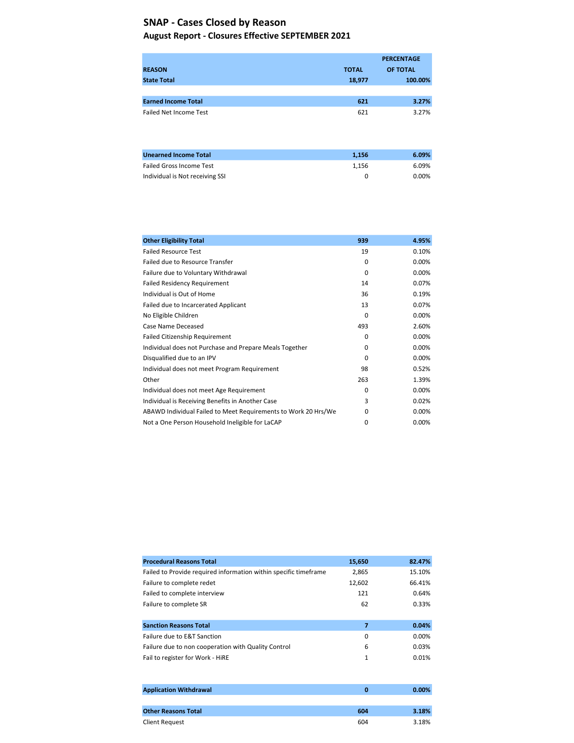### August Report - Closures Effective SEPTEMBER 2021

|                                 |              | <b>PERCENTAGE</b> |
|---------------------------------|--------------|-------------------|
| <b>REASON</b>                   | <b>TOTAL</b> | OF TOTAL          |
| <b>State Total</b>              | 18,977       | 100.00%           |
|                                 |              |                   |
| <b>Earned Income Total</b>      | 621          | 3.27%             |
| <b>Failed Net Income Test</b>   | 621          | 3.27%             |
| <b>Unearned Income Total</b>    | 1,156        | 6.09%             |
| <b>Failed Gross Income Test</b> | 1,156        | 6.09%             |

Individual is Not receiving SSI 0.00%

| <b>Other Eligibility Total</b>                                 | 939      | 4.95% |
|----------------------------------------------------------------|----------|-------|
| <b>Failed Resource Test</b>                                    | 19       | 0.10% |
| Failed due to Resource Transfer                                | $\Omega$ | 0.00% |
| Failure due to Voluntary Withdrawal                            | $\Omega$ | 0.00% |
| <b>Failed Residency Requirement</b>                            | 14       | 0.07% |
| Individual is Out of Home                                      | 36       | 0.19% |
| Failed due to Incarcerated Applicant                           | 13       | 0.07% |
| No Eligible Children                                           | $\Omega$ | 0.00% |
| Case Name Deceased                                             | 493      | 2.60% |
| Failed Citizenship Requirement                                 | $\Omega$ | 0.00% |
| Individual does not Purchase and Prepare Meals Together        | $\Omega$ | 0.00% |
| Disqualified due to an IPV                                     | $\Omega$ | 0.00% |
| Individual does not meet Program Requirement                   | 98       | 0.52% |
| Other                                                          | 263      | 1.39% |
| Individual does not meet Age Requirement                       | $\Omega$ | 0.00% |
| Individual is Receiving Benefits in Another Case               | 3        | 0.02% |
| ABAWD Individual Failed to Meet Requirements to Work 20 Hrs/We | O        | 0.00% |
| Not a One Person Household Ineligible for LaCAP                | 0        | 0.00% |

| <b>Procedural Reasons Total</b>                                  | 15,650      | 82.47% |
|------------------------------------------------------------------|-------------|--------|
| Failed to Provide required information within specific timeframe | 2,865       | 15.10% |
| Failure to complete redet                                        | 12,602      | 66.41% |
| Failed to complete interview                                     | 121         | 0.64%  |
| Failure to complete SR                                           | 62          | 0.33%  |
|                                                                  |             |        |
| <b>Sanction Reasons Total</b>                                    | 7           | 0.04%  |
| Failure due to E&T Sanction                                      | 0           | 0.00%  |
| Failure due to non cooperation with Quality Control              | 6           | 0.03%  |
| Fail to register for Work - HiRE                                 | 1           | 0.01%  |
|                                                                  |             |        |
|                                                                  |             |        |
| <b>Application Withdrawal</b>                                    | $\mathbf 0$ | 0.00%  |

| reported tion to iting a trail | . . | .     |
|--------------------------------|-----|-------|
|                                |     |       |
| <b>Other Reasons Total</b>     | 604 | 3.18% |
| <b>Client Request</b>          | 604 | 3.18% |